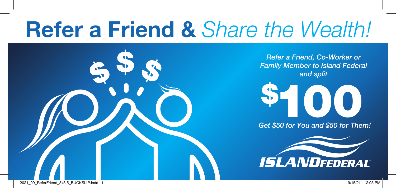# Refer a Friend & *Share the Wealth!*



*Refer a Friend, Co-Worker or Family Member to Island Federal and split*



*Get \$50 for You and \$50 for Them!*